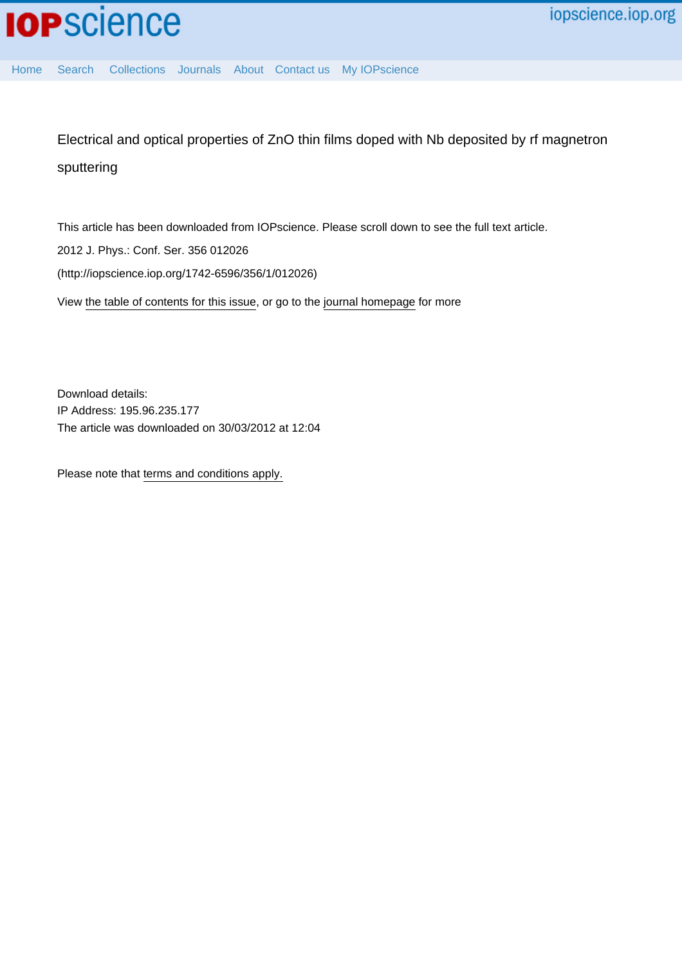

[Home](http://iopscience.iop.org/) [Search](http://iopscience.iop.org/search) [Collections](http://iopscience.iop.org/collections) [Journals](http://iopscience.iop.org/journals) [About](http://iopscience.iop.org/page/aboutioppublishing) [Contact us](http://iopscience.iop.org/contact) [My IOPscience](http://iopscience.iop.org/myiopscience)

Electrical and optical properties of ZnO thin films doped with Nb deposited by rf magnetron sputtering

This article has been downloaded from IOPscience. Please scroll down to see the full text article. 2012 J. Phys.: Conf. Ser. 356 012026 (http://iopscience.iop.org/1742-6596/356/1/012026)

View [the table of contents for this issue](http://iopscience.iop.org/1742-6596/356/1), or go to the [journal homepage](http://iopscience.iop.org/1742-6596) for more

Download details: IP Address: 195.96.235.177 The article was downloaded on 30/03/2012 at 12:04

Please note that [terms and conditions apply.](http://iopscience.iop.org/page/terms)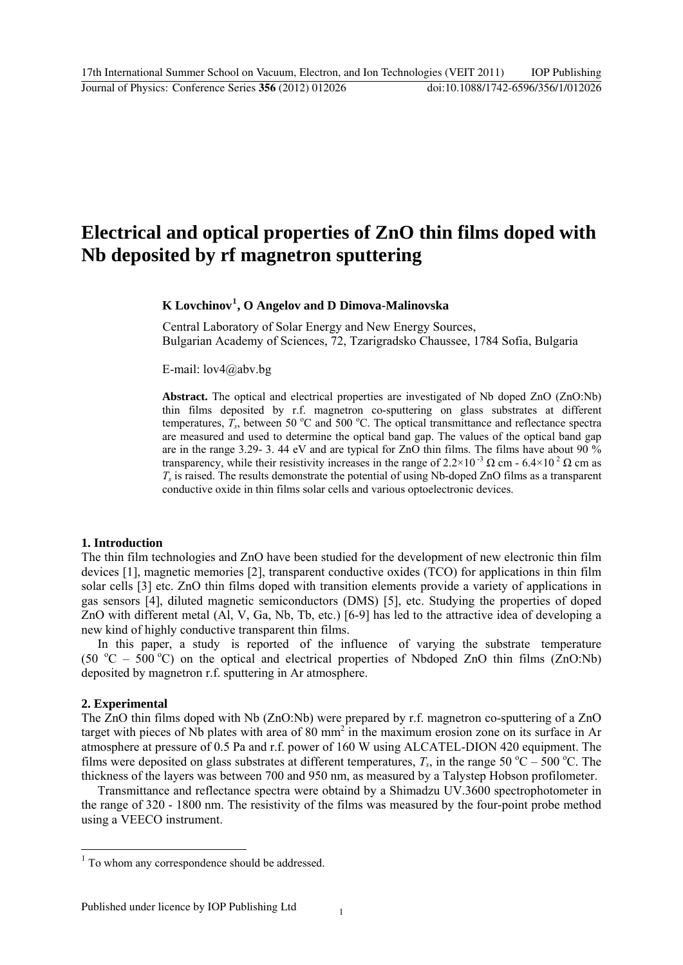# **Electrical and optical properties of ZnO thin films doped with Nb deposited by rf magnetron sputtering**

# **K Lovchinov[1](#page-1-0) , O Angelov and D Dimova-Malinovska**

Central Laboratory of Solar Energy and New Energy Sources, Bulgarian Academy of Sciences, 72, Tzarigradsko Chaussee, 1784 Sofia, Bulgaria

E-mail: [lov4@abv.bg](mailto:lov4@abv.bg) 

**Abstract.** The optical and electrical properties are investigated of Nb doped ZnO (ZnO:Nb) thin films deposited by r.f. magnetron co-sputtering on glass substrates at different temperatures,  $T_s$ , between 50 °C and 500 °C. The optical transmittance and reflectance spectra are measured and used to determine the optical band gap. The values of the optical band gap are in the range 3.29- 3.44 eV and are typical for  $ZnO$  thin films. The films have about 90 % transparency, while their resistivity increases in the range of  $2.2 \times 10^{-3} \Omega$  cm -  $6.4 \times 10^{-2} \Omega$  cm as *Ts* is raised. The results demonstrate the potential of using Nb-doped ZnO films as a transparent conductive oxide in thin films solar cells and various optoelectronic devices.

## **1. Introduction**

The thin film technologies and ZnO have been studied for the development of new electronic thin film devices [1], magnetic memories [2], transparent conductive oxides (TCO) for applications in thin film solar cells [3] etc. ZnO thin films doped with transition elements provide a variety of applications in gas sensors [4], diluted magnetic semiconductors (DMS) [5], etc. Studying the properties of doped ZnO with different metal (Al, V, Ga, Nb, Tb, etc.) [6-9] has led to the attractive idea of developing a new kind of highly conductive transparent thin films.

In this paper, a study is reported of the influence of varying the substrate temperature (50  $^{\circ}$ C – 500  $^{\circ}$ C) on the optical and electrical properties of Nbdoped ZnO thin films (ZnO:Nb) deposited by magnetron r.f. sputtering in Ar atmosphere.

## **2. Experimental**

1

The ZnO thin films doped with Nb (ZnO:Nb) were prepared by r.f. magnetron co-sputtering of a ZnO target with pieces of Nb plates with area of  $80 \text{ mm}^2$  in the maximum erosion zone on its surface in Ar atmosphere at pressure of 0.5 Pa and r.f. power of 160 W using ALCATEL-DION 420 equipment. The films were deposited on glass substrates at different temperatures,  $T_s$ , in the range 50 °C – 500 °C. The thickness of the layers was between 700 and 950 nm, as measured by a Talystep Hobson profilometer.

Transmittance and reflectance spectra were obtaind by a Shimadzu UV.3600 spectrophotometer in the range of 320 - 1800 nm. The resistivity of the films was measured by the four-point probe method using a VEECO instrument.

<span id="page-1-0"></span><sup>&</sup>lt;sup>1</sup> To whom any correspondence should be addressed.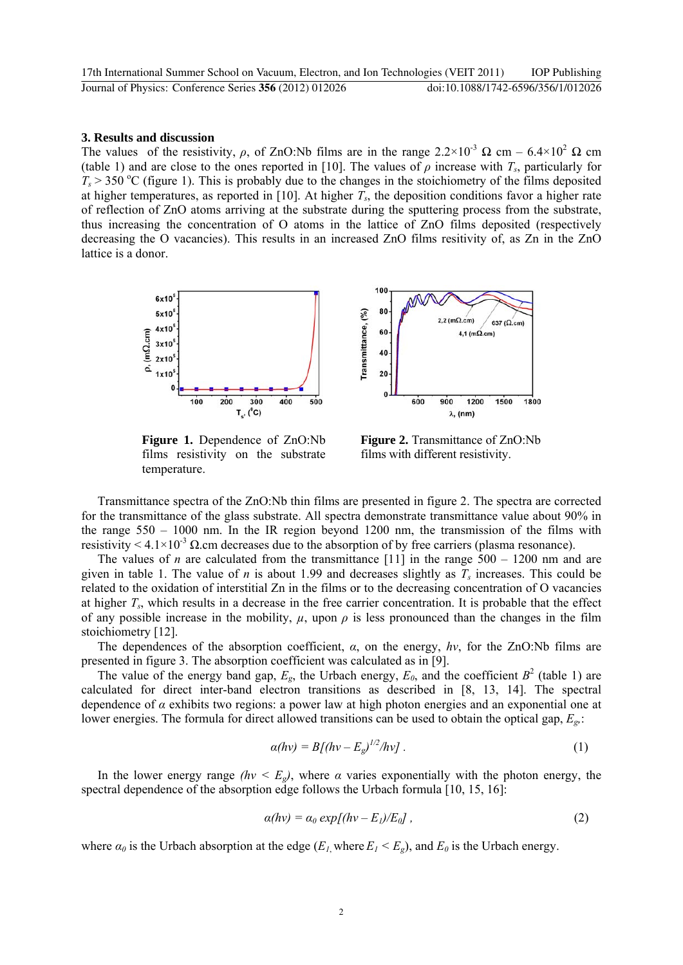#### **3. Results and discussion**

The values of the resistivity,  $\rho$ , of ZnO:Nb films are in the range  $2.2 \times 10^{-3} \Omega$  cm –  $6.4 \times 10^{2} \Omega$  cm (table 1) and are close to the ones reported in [10]. The values of  $\rho$  increase with  $T_s$ , particularly for  $T_s$  > 350 °C (figure 1). This is probably due to the changes in the stoichiometry of the films deposited at higher temperatures, as reported in [10]. At higher  $T_s$ , the deposition conditions favor a higher rate of reflection of ZnO atoms arriving at the substrate during the sputtering process from the substrate, thus increasing the concentration of O atoms in the lattice of ZnO films deposited (respectively decreasing the O vacancies). This results in an increased ZnO films resitivity of, as Zn in the ZnO lattice is a donor.



**Figure 1.** Dependence of ZnO:Nb films resistivity on the substrate temperature.

**Figure 2.** Transmittance of ZnO:Nb films with different resistivity.

Transmittance spectra of the ZnO:Nb thin films are presented in figure 2. The spectra are corrected for the transmittance of the glass substrate. All spectra demonstrate transmittance value about 90% in the range 550 – 1000 nm. In the IR region beyond 1200 nm, the transmission of the films with resistivity  $\leq 4.1 \times 10^{-3}$  Q.cm decreases due to the absorption of by free carriers (plasma resonance).

The values of *n* are calculated from the transmittance [11] in the range  $500 - 1200$  nm and are given in table 1. The value of *n* is about 1.99 and decreases slightly as  $T_s$  increases. This could be related to the oxidation of interstitial Zn in the films or to the decreasing concentration of O vacancies at higher  $T_s$ , which results in a decrease in the free carrier concentration. It is probable that the effect of any possible increase in the mobility,  $\mu$ , upon  $\rho$  is less pronounced than the changes in the film stoichiometry [12].

The dependences of the absorption coefficient, *α*, on the energy, *hν*, for the ZnO:Nb films are presented in figure 3. The absorption coefficient was calculated as in [9].

The value of the energy band gap,  $E_g$ , the Urbach energy,  $E_0$ , and the coefficient  $B^2$  (table 1) are calculated for direct inter-band electron transitions as described in [8, 13, 14]. The spectral dependence of *α* exhibits two regions: a power law at high photon energies and an exponential one at lower energies. The formula for direct allowed transitions can be used to obtain the optical gap, *Eg,*:

$$
\alpha(hv) = B[(hv - E_g)^{1/2}/hv]. \qquad (1)
$$

In the lower energy range  $(hv \le E_g)$ , where  $\alpha$  varies exponentially with the photon energy, the spectral dependence of the absorption edge follows the Urbach formula [10, 15, 16]:

$$
\alpha(hv) = \alpha_0 \exp[(hv - E_l)/E_0], \qquad (2)
$$

where  $\alpha_0$  is the Urbach absorption at the edge  $(E_l$  where  $E_l \le E_e$ ), and  $E_0$  is the Urbach energy.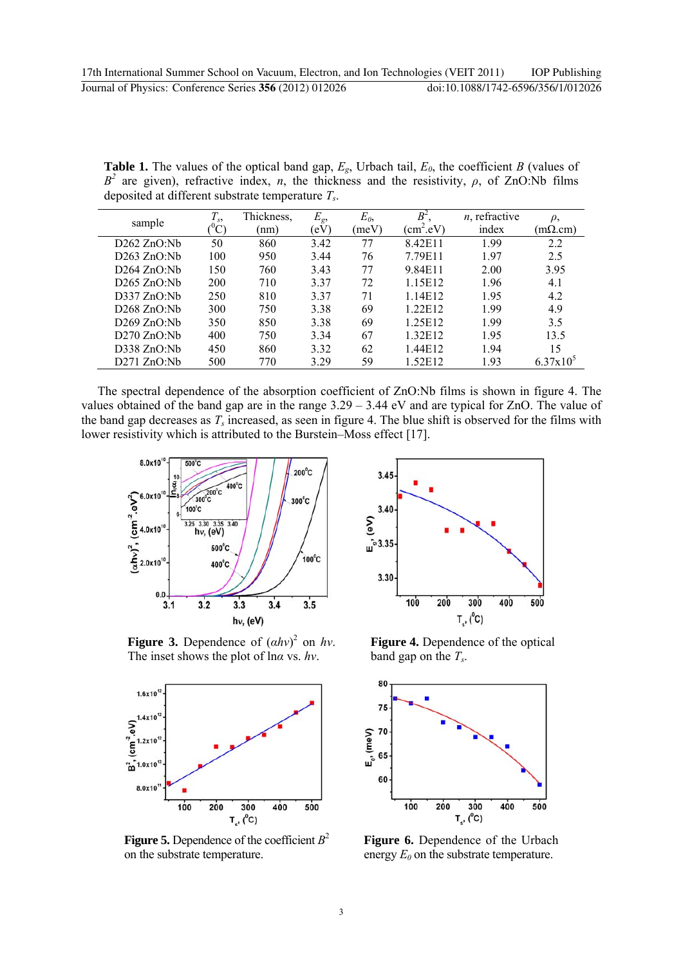**Table 1.** The values of the optical band gap,  $E_g$ , Urbach tail,  $E_0$ , the coefficient *B* (values of  $B^2$  are given), refractive index, *n*, the thickness and the resistivity, *ρ*, of ZnO:Nb films deposited at different substrate temperature *Ts*.

| sample      | $T_{s}$                   | Thickness, | $E_{g}$   | $E_0$ | $B^2$       | $n$ , refractive | $\rho$ ,       |
|-------------|---------------------------|------------|-----------|-------|-------------|------------------|----------------|
|             | $^{\mathrm{o}}\mathrm{C}$ | (nm)       | $\rm(eV)$ | (meV) | $(cm^2.eV)$ | index            | $(m\Omega.cm)$ |
| D262 ZnO:Nb | 50                        | 860        | 3.42      | 77    | 8.42E11     | 1.99             | 2.2            |
| D263 ZnO:Nb | 100                       | 950        | 3.44      | 76    | 7.79E11     | 1.97             | 2.5            |
| D264 ZnO:Nb | 150                       | 760        | 3.43      | 77    | 9.84E11     | 2.00             | 3.95           |
| D265 ZnO:Nb | 200                       | 710        | 337       | 72    | 1.15E12     | 1.96             | 4.1            |
| D337 ZnO:Nb | 250                       | 810        | 3.37      | 71    | 1.14E12     | 1.95             | 4.2            |
| D268 ZnO:Nb | 300                       | 750        | 3.38      | 69    | 1.22E12     | 1.99             | 4.9            |
| D269 ZnO:Nb | 350                       | 850        | 3.38      | 69    | 1.25E12     | 1.99             | 3.5            |
| D270 ZnO:Nb | 400                       | 750        | 3.34      | 67    | 1.32E12     | 1.95             | 13.5           |
| D338 ZnO:Nb | 450                       | 860        | 3.32      | 62    | 1.44E12     | 1.94             | 15             |
| D271 ZnO:Nb | 500                       | 770        | 3.29      | 59    | 1.52E12     | 1.93             | $6.37x10^5$    |

 The spectral dependence of the absorption coefficient of ZnO:Nb films is shown in figure 4. The values obtained of the band gap are in the range 3.29 – 3.44 eV and are typical for ZnO. The value of the band gap decreases as  $T_s$  increased, as seen in figure 4. The blue shift is observed for the films with lower resistivity which is attributed to the Burstein–Moss effect [17].



**Figure 3.** Dependence of  $(ahv)^2$  on  $hv$ . The inset shows the plot of ln*α* vs. *hν*.



**Figure 5.** Dependence of the coefficient  $B^2$ on the substrate temperature.



**Figure 4.** Dependence of the optical band gap on the *Ts*.



**Figure 6.** Dependence of the Urbach energy  $E_0$  on the substrate temperature.